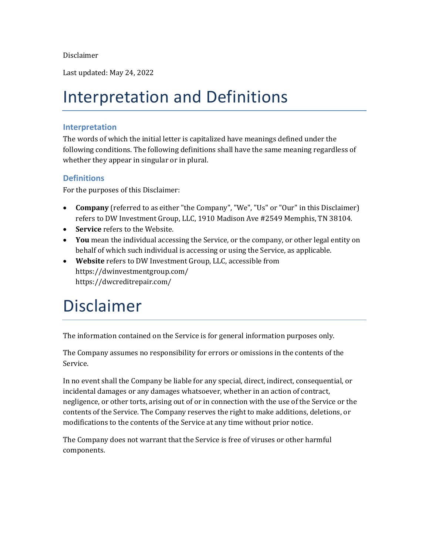Disclaimer

Last updated: May 24, 2022

### Interpretation and Definitions

#### **Interpretation**

The words of which the initial letter is capitalized have meanings defined under the following conditions. The following definitions shall have the same meaning regardless of whether they appear in singular or in plural.

#### **Definitions**

For the purposes of this Disclaimer:

- **Company** (referred to as either "the Company", "We", "Us" or "Our" in this Disclaimer) refers to DW Investment Group, LLC, 1910 Madison Ave #2549 Memphis, TN 38104.
- **Service** refers to the Website.
- **You** mean the individual accessing the Service, or the company, or other legal entity on behalf of which such individual is accessing or using the Service, as applicable.
- **Website** refers to DW Investment Group, LLC, accessible from <https://dwinvestmentgroup.com/> https://dwcreditrepair.com/

### Disclaimer

The information contained on the Service is for general information purposes only.

The Company assumes no responsibility for errors or omissions in the contents of the Service.

In no event shall the Company be liable for any special, direct, indirect, consequential, or incidental damages or any damages whatsoever, whether in an action of contract, negligence, or other torts, arising out of or in connection with the use of the Service or the contents of the Service. The Company reserves the right to make additions, deletions, or modifications to the contents of the Service at any time without prior notice.

The Company does not warrant that the Service is free of viruses or other harmful components.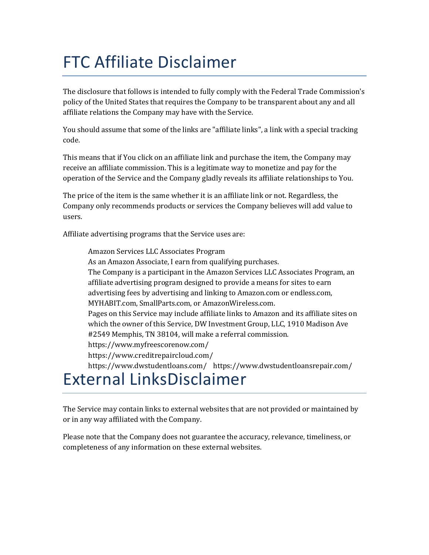# FTC Affiliate Disclaimer

The disclosure that follows is intended to fully comply with the Federal Trade Commission's policy of the United States that requires the Company to be transparent about any and all affiliate relations the Company may have with the Service.

You should assume that some of the links are "affiliate links", a link with a special tracking code.

This means that if You click on an affiliate link and purchase the item, the Company may receive an affiliate commission. This is a legitimate way to monetize and pay for the operation of the Service and the Company gladly reveals its affiliate relationships to You.

The price of the item is the same whether it is an affiliate link or not. Regardless, the Company only recommends products or services the Company believes will add value to users.

Affiliate advertising programs that the Service uses are:

Amazon Services LLC Associates Program As an Amazon Associate, I earn from qualifying purchases. The Company is a participant in the Amazon Services LLC Associates Program, an affiliate advertising program designed to provide a means for sites to earn advertising fees by advertising and linking to Amazon.com or endless.com, MYHABIT.com, SmallParts.com, or AmazonWireless.com. Pages on this Service may include affiliate links to Amazon and its affiliate sites on which the owner of this Service, DW Investment Group, LLC, 1910 Madison Ave #2549 Memphis, TN 38104, will make a referral commission. https://www.myfreescorenow.com/ https://www.creditrepaircloud.com/ https://www.dwstudentloans.com/ https://www.dwstudentloansrepair.com/

#### External LinksDisclaimer

The Service may contain links to external websites that are not provided or maintained by or in any way affiliated with the Company.

Please note that the Company does not guarantee the accuracy, relevance, timeliness, or completeness of any information on these external websites.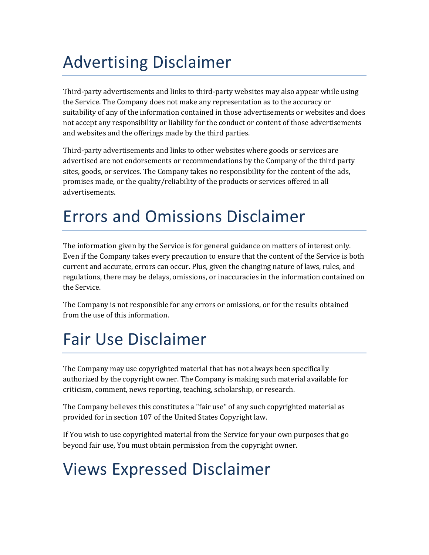# Advertising Disclaimer

Third-party advertisements and links to third-party websites may also appear while using the Service. The Company does not make any representation as to the accuracy or suitability of any of the information contained in those advertisements or websites and does not accept any responsibility or liability for the conduct or content of those advertisements and websites and the offerings made by the third parties.

Third-party advertisements and links to other websites where goods or services are advertised are not endorsements or recommendations by the Company of the third party sites, goods, or services. The Company takes no responsibility for the content of the ads, promises made, or the quality/reliability of the products or services offered in all advertisements.

## Errors and Omissions Disclaimer

The information given by the Service is for general guidance on matters of interest only. Even if the Company takes every precaution to ensure that the content of the Service is both current and accurate, errors can occur. Plus, given the changing nature of laws, rules, and regulations, there may be delays, omissions, or inaccuracies in the information contained on the Service.

The Company is not responsible for any errors or omissions, or for the results obtained from the use of this information.

## Fair Use Disclaimer

The Company may use copyrighted material that has not always been specifically authorized by the copyright owner. The Company is making such material available for criticism, comment, news reporting, teaching, scholarship, or research.

The Company believes this constitutes a "fair use" of any such copyrighted material as provided for in section 107 of the United States Copyright law.

If You wish to use copyrighted material from the Service for your own purposes that go beyond fair use, You must obtain permission from the copyright owner.

## Views Expressed Disclaimer